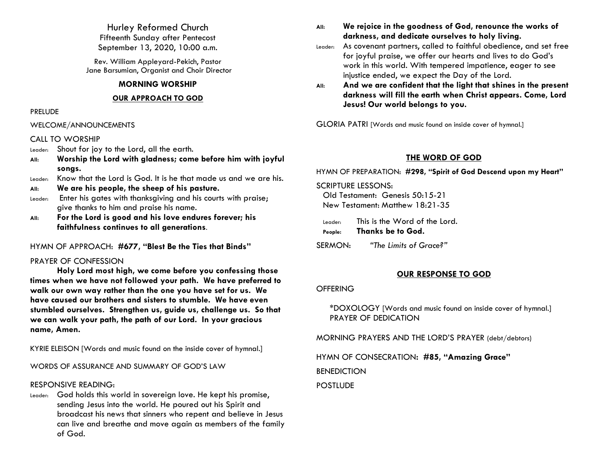Hurley Reformed Church Fifteenth Sunday after Pentecost September 13, 2020, 10:00 a.m.

Rev. William Appleyard-Pekich, Pastor Jane Barsumian, Organist and Choir Director

# **MORNING WORSHIP**

## **OUR APPROACH TO GOD**

### PRELUDE

### WELCOME/ANNOUNCEMENTS

# CALL TO WORSHIP

- Leader: Shout for joy to the Lord, all the earth.
- **All: Worship the Lord with gladness; come before him with joyful songs.**
- Leader: Know that the Lord is God. It is he that made us and we are his.
- **All: We are his people, the sheep of his pasture.**
- Leader: Enter his gates with thanksgiving and his courts with praise; give thanks to him and praise his name.
- **All: For the Lord is good and his love endures forever; his faithfulness continues to all generations.**

# HYMN OF APPROACH: **#677, "Blest Be the Ties that Binds"**

# PRAYER OF CONFESSION

**Holy Lord most high, we come before you confessing those times when we have not followed your path. We have preferred to walk our own way rather than the one you have set for us. We have caused our brothers and sisters to stumble. We have even stumbled ourselves. Strengthen us, guide us, challenge us. So that we can walk your path, the path of our Lord. In your gracious name, Amen.**

KYRIE ELEISON [Words and music found on the inside cover of hymnal.]

WORDS OF ASSURANCE AND SUMMARY OF GOD'S LAW

# RESPONSIVE READING:

Leader: God holds this world in sovereign love. He kept his promise, sending Jesus into the world. He poured out his Spirit and broadcast his news that sinners who repent and believe in Jesus can live and breathe and move again as members of the family of God.

- **All: We rejoice in the goodness of God, renounce the works of darkness, and dedicate ourselves to holy living.**
- Leader: As covenant partners, called to faithful obedience, and set free for joyful praise, we offer our hearts and lives to do God's work in this world. With tempered impatience, eager to see injustice ended, we expect the Day of the Lord.
- **All: And we are confident that the light that shines in the present darkness will fill the earth when Christ appears. Come, Lord Jesus! Our world belongs to you.**

GLORIA PATRI [Words and music found on inside cover of hymnal.]

# **THE WORD OF GOD**

HYMN OF PREPARATION: **#298, "Spirit of God Descend upon my Heart"**

SCRIPTURE LESSONS:

Old Testament: Genesis 50:15-21 New Testament: Matthew 18:21-35

Leader: This is the Word of the Lord. **People: Thanks be to God.**

SERMON: *"The Limits of Grace?"*

# **OUR RESPONSE TO GOD**

# **OFFERING**

\*DOXOLOGY [Words and music found on inside cover of hymnal.] PRAYER OF DEDICATION

MORNING PRAYERS AND THE LORD'S PRAYER (debt/debtors)

HYMN OF CONSECRATION**: #85, "Amazing Grace"** BENEDICTION **POSTILIDE**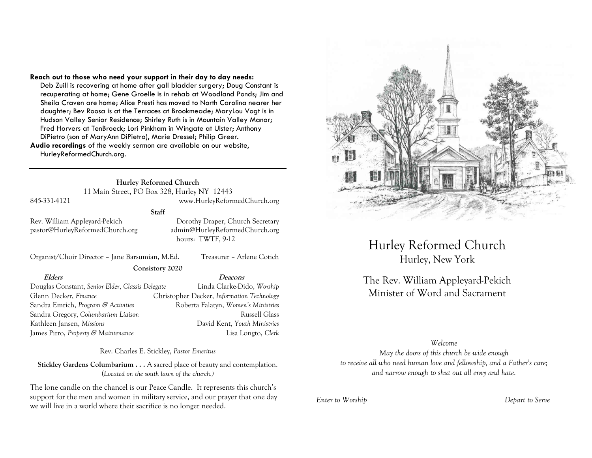#### **Reach out to those who need your support in their day to day needs:**

Deb Zuill is recovering at home after gall bladder surgery; Doug Constant is recuperating at home; Gene Groelle is in rehab at Woodland Ponds; Jim and Sheila Craven are home; Alice Presti has moved to North Carolina nearer her daughter; Bev Roosa is at the Terraces at Brookmeade; MaryLou Vogt is in Hudson Valley Senior Residence; Shirley Ruth is in Mountain Valley Manor; Fred Horvers at TenBroeck; Lori Pinkham in Wingate at Ulster; Anthony DiPietro (son of MaryAnn DiPietro), Marie Dressel; Philip Greer. **Audio recordings** of the weekly sermon are available on our website, HurleyReformedChurch.org.

**Hurley Reformed Church** 11 Main Street, PO Box 328, Hurley NY 12443 845-331-4121 www.HurleyReformedChurch.org

**Staff**

pastor@HurleyReformedChurch.org admin@HurleyReformedChurch.org

Rev. William Appleyard-Pekich Dorothy Draper, Church Secretary hours: TWTF, 9-12

Organist/Choir Director – Jane Barsumian, M.Ed. Treasurer – Arlene Cotich

**Consistory 2020**

**Elders Deacons** Douglas Constant, *Senior Elder*, *Classis Delegate* Linda Clarke-Dido, *Worship* Glenn Decker, *Finance* Christopher Decker, *Information Technology* Sandra Emrich, *Program & Activities* Roberta Falatyn, *Women's Ministries* Sandra Gregory, *Columbarium Liaison* and a second proposed Russell Glass Kathleen Jansen, *Missions* David Kent, *Youth Ministries* James Pirro, *Property & Maintenance* Lisa Longto, *Clerk*

Rev. Charles E. Stickley, *Pastor Emeritus*

**Stickley Gardens Columbarium . . .** A sacred place of beauty and contemplation. (*Located on the south lawn of the church.)* 

The lone candle on the chancel is our Peace Candle. It represents this church's support for the men and women in military service, and our prayer that one day we will live in a world where their sacrifice is no longer needed.



Hurley Reformed Church Hurley, New York

The Rev. William Appleyard-Pekich Minister of Word and Sacrament

## *Welcome*

*May the doors of this church be wide enough to receive all who need human love and fellowship, and a Father's care; and narrow enough to shut out all envy and hate.*

*Enter to Worship Depart to Serve*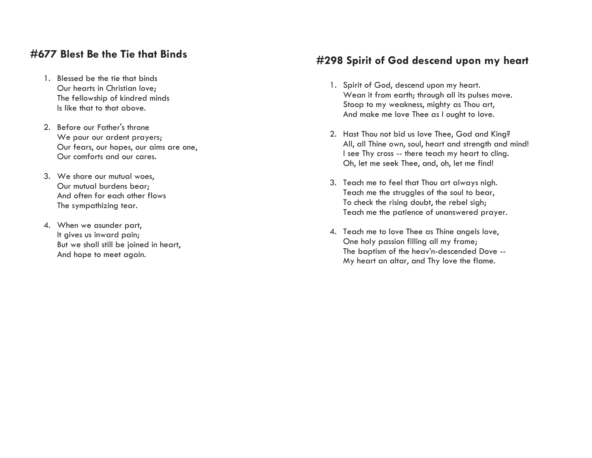# **#677 Blest Be the Tie that Binds**

- 1. Blessed be the tie that binds Our hearts in Christian love; The fellowship of kindred minds Is like that to that above.
- 2. Before our Father's throne We pour our ardent prayers; Our fears, our hopes, our aims are one , Our comforts and our cares.
- 3. We share our mutual woes, Our mutual burdens bear; And often for each other flows The sympathizing tear.
- 4. When we asunder part, It gives us inward pain; But we shall still be joined in heart, And hope to meet again.

# **#298 Spirit of God descend upon my heart**

- 1. Spirit of God, descend upon my heart. Wean it from earth; through all its pulses move. Stoop to my weakness, mighty as Thou art, And make me love Thee as I ought to love.
- 2. Hast Thou not bid us love Thee, God and King? All, all Thine own, soul, heart and strength and mind! I see Thy cross -- there teach my heart to cling. Oh, let me seek Thee, and, oh, let me find!
- 3. Teach me to feel that Thou art always nigh. Teach me the struggles of the soul to bear, To check the rising doubt, the rebel sigh; Teach me the patience of unanswered prayer.
- 4. Teach me to love Thee as Thine angels love, One holy passion filling all my frame; The baptism of the heav'n -descended Dove -- My heart an altar, and Thy love the flame.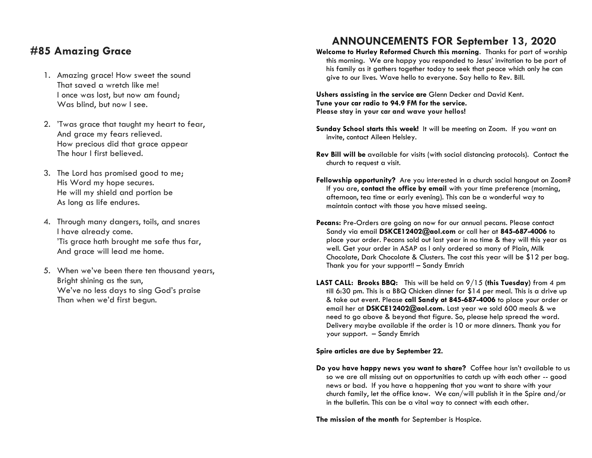# **#85 Amazing Grace**

- 1. Amazing grace! How sweet the sound That saved a wretch like me! I once was lost, but now am found; Was blind, but now I see.
- 2. 'Twas grace that taught my heart to fear, And grace my fears relieved. How precious did that grace appear The hour I first believed.
- 3. The Lord has promised good to me; His Word my hope secures. He will my shield and portion be As long as life endures.
- 4. Through many dangers, toils, and snares I have already come. 'Tis grace hath brought me safe thus far, And grace will lead me home.
- 5. When we've been there ten thousand years, Bright shining as the sun, We've no less days to sing God's praise Than when we'd first begun.

# **ANNOUNCEMENTS FOR September 13, 2020**

**Welcome to Hurley Reformed Church this morning**. Thanks for part of worship this morning. We are happy you responded to Jesus' invitation to be part of his family as it gathers together today to seek that peace which only he can give to our lives. Wave hello to everyone. Say hello to Rev. Bill.

**Ushers assisting in the service are** Glenn Decker and David Kent. **Tune your car radio to 94.9 FM for the service. Please stay in your car and wave your hellos!**

- **Sunday School starts this week!** It will be meeting on Zoom. If you want an invite, contact Aileen Helsley.
- **Rev Bill will be** available for visits (with social distancing protocols). Contact the church to request a visit.
- **Fellowship opportunity?** Are you interested in a church social hangout on Zoom? If you are, **contact the office by email** with your time preference (morning, afternoon, tea time or early evening). This can be a wonderful way to maintain contact with those you have missed seeing.
- **Pecans:** Pre-Orders are going on now for our annual pecans. Please contact Sandy via email **DSKCE12402@aol.com** or call her at **845-687-4006** to place your order. Pecans sold out last year in no time & they will this year as well. Get your order in ASAP as I only ordered so many of Plain, Milk Chocolate, Dark Chocolate & Clusters. The cost this year will be \$12 per bag. Thank you for your support!! – Sandy Emrich
- **LAST CALL: Brooks BBQ:** This will be held on 9/15 **(this Tuesday)** from 4 pm till 6:30 pm. This is a BBQ Chicken dinner for \$14 per meal. This is a drive up & take out event. Please **call Sandy at 845-687-4006** to place your order or email her at **DSKCE12402@aol.com.** Last year we sold 600 meals & we need to go above & beyond that figure. So, please help spread the word. Delivery maybe available if the order is 10 or more dinners. Thank you for your support. – Sandy Emrich

**Spire articles are due by September 22.** 

**Do you have happy news you want to share?** Coffee hour isn't available to us so we are all missing out on opportunities to catch up with each other -- good news or bad. If you have a happening that you want to share with your church family, let the office know. We can/will publish it in the Spire and/or in the bulletin. This can be a vital way to connect with each other.

**The mission of the month** for September is Hospice.